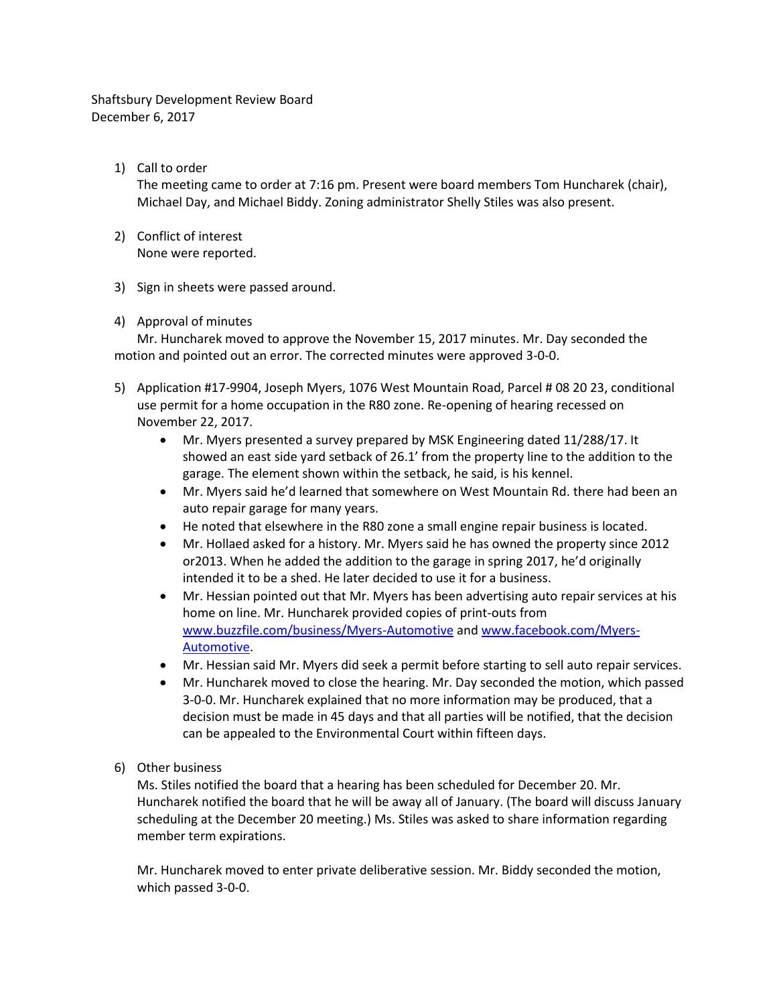Shaftsbury Development Review Board December 6, 2017

## 1) Call to order

The meeting came to order at 7:16 pm. Present were board members Tom Huncharek (chair), Michael Day, and Michael Biddy. Zoning administrator Shelly Stiles was also present.

- 2) Conflict of interest None were reported.
- 3) Sign in sheets were passed around.
- 4) Approval of minutes

Mr. Huncharek moved to approve the November 15, 2017 minutes. Mr. Day seconded the motion and pointed out an error. The corrected minutes were approved 3-0-0.

- 5) Application #17-9904, Joseph Myers, 1076 West Mountain Road, Parcel # 08 20 23, conditional use permit for a home occupation in the R80 zone. Re-opening of hearing recessed on November 22, 2017.
	- Mr. Myers presented a survey prepared by MSK Engineering dated 11/288/17. It showed an east side yard setback of 26.1' from the property line to the addition to the garage. The element shown within the setback, he said, is his kennel.
	- Mr. Myers said he'd learned that somewhere on West Mountain Rd. there had been an auto repair garage for many years.
	- He noted that elsewhere in the R80 zone a small engine repair business is located.
	- Mr. Hollaed asked for a history. Mr. Myers said he has owned the property since 2012 or2013. When he added the addition to the garage in spring 2017, he'd originally intended it to be a shed. He later decided to use it for a business.
	- Mr. Hessian pointed out that Mr. Myers has been advertising auto repair services at his home on line. Mr. Huncharek provided copies of print-outs from [www.buzzfile.com/business/Myers-Automotive](http://www.buzzfile.com/business/Myers-Automotive) an[d www.facebook.com/Myers-](http://www.facebook.com/Myers-Automotive)[Automotive.](http://www.facebook.com/Myers-Automotive)
	- Mr. Hessian said Mr. Myers did seek a permit before starting to sell auto repair services.
	- Mr. Huncharek moved to close the hearing. Mr. Day seconded the motion, which passed 3-0-0. Mr. Huncharek explained that no more information may be produced, that a decision must be made in 45 days and that all parties will be notified, that the decision can be appealed to the Environmental Court within fifteen days.
- 6) Other business

Ms. Stiles notified the board that a hearing has been scheduled for December 20. Mr. Huncharek notified the board that he will be away all of January. (The board will discuss January scheduling at the December 20 meeting.) Ms. Stiles was asked to share information regarding member term expirations.

Mr. Huncharek moved to enter private deliberative session. Mr. Biddy seconded the motion, which passed 3-0-0.